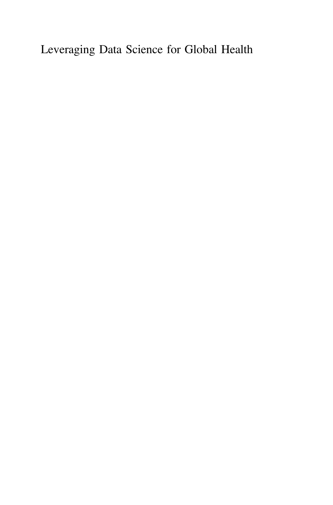Leveraging Data Science for Global Health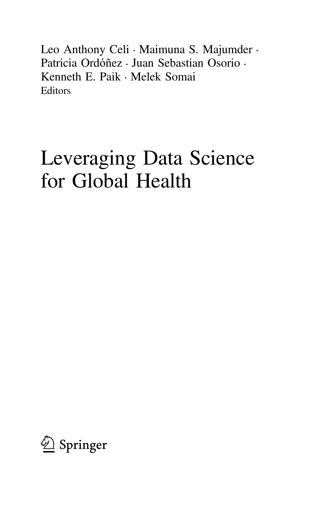Leo Anthony Celi • Maimuna S. Majumder • Patricia Ordóñez • Juan Sebastian Osorio • Kenneth E. Paik • Melek Somai Editors

# Leveraging Data Science for Global Health

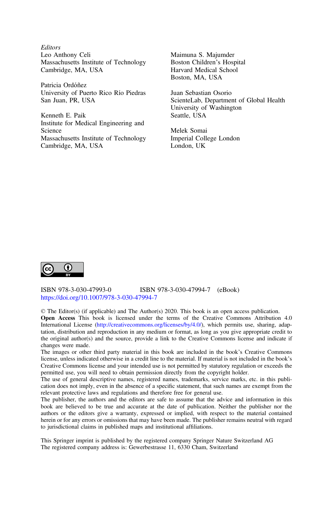**Editors** Leo Anthony Celi Massachusetts Institute of Technology Cambridge, MA, USA

Patricia Ordóñez University of Puerto Rico Río Piedras San Juan, PR, USA

Kenneth E. Paik Institute for Medical Engineering and Science Massachusetts Institute of Technology Cambridge, MA, USA

Maimuna S. Majumder Boston Children's Hospital Harvard Medical School Boston, MA, USA

Juan Sebastian Osorio ScienteLab, Department of Global Health University of Washington Seattle, USA

Melek Somai Imperial College London London, UK



ISBN 978-3-030-47993-0 ISBN 978-3-030-47994-7 (eBook) <https://doi.org/10.1007/978-3-030-47994-7>

© The Editor(s) (if applicable) and The Author(s) 2020. This book is an open access publication.

Open Access This book is licensed under the terms of the Creative Commons Attribution 4.0 International License ([http://creativecommons.org/licenses/by/4.0/\)](http://creativecommons.org/licenses/by/4.0/), which permits use, sharing, adaptation, distribution and reproduction in any medium or format, as long as you give appropriate credit to the original author(s) and the source, provide a link to the Creative Commons license and indicate if changes were made.

The images or other third party material in this book are included in the book's Creative Commons license, unless indicated otherwise in a credit line to the material. If material is not included in the book's Creative Commons license and your intended use is not permitted by statutory regulation or exceeds the permitted use, you will need to obtain permission directly from the copyright holder.

The use of general descriptive names, registered names, trademarks, service marks, etc. in this publication does not imply, even in the absence of a specific statement, that such names are exempt from the relevant protective laws and regulations and therefore free for general use.

The publisher, the authors and the editors are safe to assume that the advice and information in this book are believed to be true and accurate at the date of publication. Neither the publisher nor the authors or the editors give a warranty, expressed or implied, with respect to the material contained herein or for any errors or omissions that may have been made. The publisher remains neutral with regard to jurisdictional claims in published maps and institutional affiliations.

This Springer imprint is published by the registered company Springer Nature Switzerland AG The registered company address is: Gewerbestrasse 11, 6330 Cham, Switzerland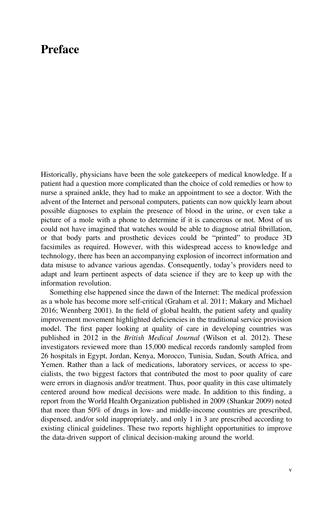### Preface

Historically, physicians have been the sole gatekeepers of medical knowledge. If a patient had a question more complicated than the choice of cold remedies or how to nurse a sprained ankle, they had to make an appointment to see a doctor. With the advent of the Internet and personal computers, patients can now quickly learn about possible diagnoses to explain the presence of blood in the urine, or even take a picture of a mole with a phone to determine if it is cancerous or not. Most of us could not have imagined that watches would be able to diagnose atrial fibrillation, or that body parts and prosthetic devices could be "printed" to produce 3D facsimiles as required. However, with this widespread access to knowledge and technology, there has been an accompanying explosion of incorrect information and data misuse to advance various agendas. Consequently, today's providers need to adapt and learn pertinent aspects of data science if they are to keep up with the information revolution.

Something else happened since the dawn of the Internet: The medical profession as a whole has become more self-critical (Graham et al. 2011; Makary and Michael 2016; Wennberg 2001). In the field of global health, the patient safety and quality improvement movement highlighted deficiencies in the traditional service provision model. The first paper looking at quality of care in developing countries was published in 2012 in the British Medical Journal (Wilson et al. 2012). These investigators reviewed more than 15,000 medical records randomly sampled from 26 hospitals in Egypt, Jordan, Kenya, Morocco, Tunisia, Sudan, South Africa, and Yemen. Rather than a lack of medications, laboratory services, or access to specialists, the two biggest factors that contributed the most to poor quality of care were errors in diagnosis and/or treatment. Thus, poor quality in this case ultimately centered around how medical decisions were made. In addition to this finding, a report from the World Health Organization published in 2009 (Shankar 2009) noted that more than 50% of drugs in low- and middle-income countries are prescribed, dispensed, and/or sold inappropriately, and only 1 in 3 are prescribed according to existing clinical guidelines. These two reports highlight opportunities to improve the data-driven support of clinical decision-making around the world.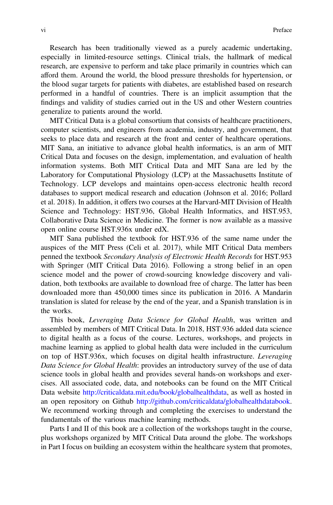Research has been traditionally viewed as a purely academic undertaking, especially in limited-resource settings. Clinical trials, the hallmark of medical research, are expensive to perform and take place primarily in countries which can afford them. Around the world, the blood pressure thresholds for hypertension, or the blood sugar targets for patients with diabetes, are established based on research performed in a handful of countries. There is an implicit assumption that the findings and validity of studies carried out in the US and other Western countries generalize to patients around the world.

MIT Critical Data is a global consortium that consists of healthcare practitioners, computer scientists, and engineers from academia, industry, and government, that seeks to place data and research at the front and center of healthcare operations. MIT Sana, an initiative to advance global health informatics, is an arm of MIT Critical Data and focuses on the design, implementation, and evaluation of health information systems. Both MIT Critical Data and MIT Sana are led by the Laboratory for Computational Physiology (LCP) at the Massachusetts Institute of Technology. LCP develops and maintains open-access electronic health record databases to support medical research and education (Johnson et al. 2016; Pollard et al. 2018). In addition, it offers two courses at the Harvard-MIT Division of Health Science and Technology: HST.936, Global Health Informatics, and HST.953, Collaborative Data Science in Medicine. The former is now available as a massive open online course HST.936x under edX.

MIT Sana published the textbook for HST.936 of the same name under the auspices of the MIT Press (Celi et al. 2017), while MIT Critical Data members penned the textbook Secondary Analysis of Electronic Health Records for HST.953 with Springer (MIT Critical Data 2016). Following a strong belief in an open science model and the power of crowd-sourcing knowledge discovery and validation, both textbooks are available to download free of charge. The latter has been downloaded more than 450,000 times since its publication in 2016. A Mandarin translation is slated for release by the end of the year, and a Spanish translation is in the works.

This book, Leveraging Data Science for Global Health, was written and assembled by members of MIT Critical Data. In 2018, HST.936 added data science to digital health as a focus of the course. Lectures, workshops, and projects in machine learning as applied to global health data were included in the curriculum on top of HST.936x, which focuses on digital health infrastructure. Leveraging Data Science for Global Health: provides an introductory survey of the use of data science tools in global health and provides several hands-on workshops and exercises. All associated code, data, and notebooks can be found on the MIT Critical Data website <http://criticaldata.mit.edu/book/globalhealthdata>, as well as hosted in an open repository on Github <http://github.com/criticaldata/globalhealthdatabook>. We recommend working through and completing the exercises to understand the fundamentals of the various machine learning methods.

Parts I and II of this book are a collection of the workshops taught in the course, plus workshops organized by MIT Critical Data around the globe. The workshops in Part I focus on building an ecosystem within the healthcare system that promotes,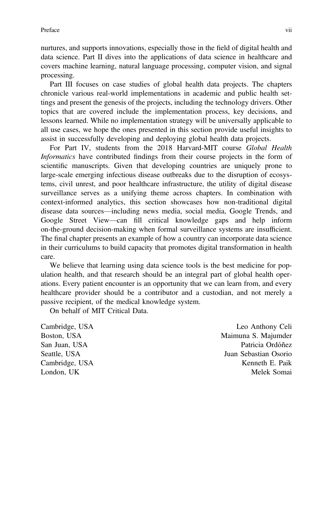nurtures, and supports innovations, especially those in the field of digital health and data science. Part II dives into the applications of data science in healthcare and covers machine learning, natural language processing, computer vision, and signal processing.

Part III focuses on case studies of global health data projects. The chapters chronicle various real-world implementations in academic and public health settings and present the genesis of the projects, including the technology drivers. Other topics that are covered include the implementation process, key decisions, and lessons learned. While no implementation strategy will be universally applicable to all use cases, we hope the ones presented in this section provide useful insights to assist in successfully developing and deploying global health data projects.

For Part IV, students from the 2018 Harvard-MIT course Global Health Informatics have contributed findings from their course projects in the form of scientific manuscripts. Given that developing countries are uniquely prone to large-scale emerging infectious disease outbreaks due to the disruption of ecosystems, civil unrest, and poor healthcare infrastructure, the utility of digital disease surveillance serves as a unifying theme across chapters. In combination with context-informed analytics, this section showcases how non-traditional digital disease data sources—including news media, social media, Google Trends, and Google Street View—can fill critical knowledge gaps and help inform on-the-ground decision-making when formal surveillance systems are insufficient. The final chapter presents an example of how a country can incorporate data science in their curriculums to build capacity that promotes digital transformation in health care.

We believe that learning using data science tools is the best medicine for population health, and that research should be an integral part of global health operations. Every patient encounter is an opportunity that we can learn from, and every healthcare provider should be a contributor and a custodian, and not merely a passive recipient, of the medical knowledge system.

On behalf of MIT Critical Data.

Cambridge, USA Leo Anthony Celi Boston, USA Maimuna S. Majumder San Juan, USA Patricia Ordóñez Seattle, USA 30 and 30 and 30 and 30 and 30 and 30 and 30 and 30 and 30 and 30 and 30 and 30 and 30 and 30 and 30 and 30 and 30 and 30 and 30 and 30 and 30 and 30 and 30 and 30 and 30 and 30 and 30 and 30 and 30 and 30 and Cambridge, USA Kenneth E. Paik London, UK Melek Somai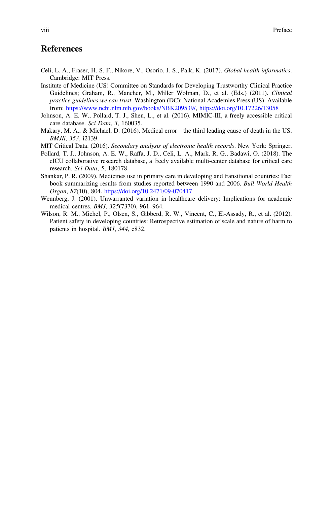#### **References**

- Celi, L. A., Fraser, H. S. F., Nikore, V., Osorio, J. S., Paik, K. (2017). Global health informatics. Cambridge: MIT Press.
- Institute of Medicine (US) Committee on Standards for Developing Trustworthy Clinical Practice Guidelines; Graham, R., Mancher, M., Miller Wolman, D., et al. (Eds.) (2011). Clinical practice guidelines we can trust. Washington (DC): National Academies Press (US). Available from: <https://www.ncbi.nlm.nih.gov/books/NBK209539/>, <https://doi.org/10.17226/13058>
- Johnson, A. E. W., Pollard, T. J., Shen, L., et al. (2016). MIMIC-III, a freely accessible critical care database. Sci Data, 3, 160035.
- Makary, M. A., & Michael, D. (2016). Medical error—the third leading cause of death in the US. BMJIi, 353, i2139.
- MIT Critical Data. (2016). Secondary analysis of electronic health records. New York: Springer.
- Pollard, T. J., Johnson, A. E. W., Raffa, J. D., Celi, L. A., Mark, R. G., Badawi, O. (2018). The eICU collaborative research database, a freely available multi-center database for critical care research. Sci Data, 5, 180178.
- Shankar, P. R. (2009). Medicines use in primary care in developing and transitional countries: Fact book summarizing results from studies reported between 1990 and 2006. Bull World Health Organ, 87(10), 804. <https://doi.org/10.2471/09-070417>
- Wennberg, J. (2001). Unwarranted variation in healthcare delivery: Implications for academic medical centres. BMJ, 325(7370), 961–964.
- Wilson, R. M., Michel, P., Olsen, S., Gibberd, R. W., Vincent, C., El-Assady, R., et al. (2012). Patient safety in developing countries: Retrospective estimation of scale and nature of harm to patients in hospital. BMJ, 344, e832.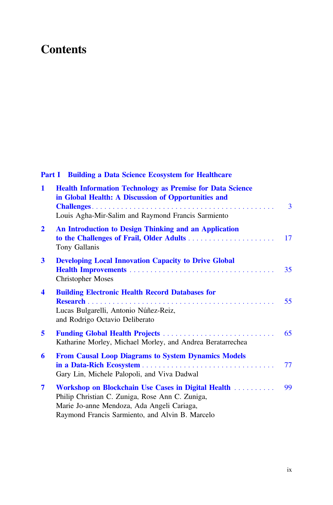## **Contents**

#### Part I Building a Data Science Ecosystem for Healthcare

| $\mathbf{1}$     | <b>Health Information Technology as Premise for Data Science</b><br>in Global Health: A Discussion of Opportunities and<br>Louis Agha-Mir-Salim and Raymond Francis Sarmiento                          | 3  |
|------------------|--------------------------------------------------------------------------------------------------------------------------------------------------------------------------------------------------------|----|
| $\mathbf{2}$     | An Introduction to Design Thinking and an Application<br>Tony Gallanis                                                                                                                                 | 17 |
| $\mathbf{3}$     | <b>Developing Local Innovation Capacity to Drive Global</b><br><b>Christopher Moses</b>                                                                                                                | 35 |
| $\boldsymbol{4}$ | <b>Building Electronic Health Record Databases for</b><br>Lucas Bulgarelli, Antonio Núñez-Reiz,<br>and Rodrigo Octavio Deliberato                                                                      | 55 |
| 5                | Katharine Morley, Michael Morley, and Andrea Beratarrechea                                                                                                                                             | 65 |
| 6                | <b>From Causal Loop Diagrams to System Dynamics Models</b><br>Gary Lin, Michele Palopoli, and Viva Dadwal                                                                                              | 77 |
| 7                | Workshop on Blockchain Use Cases in Digital Health<br>Philip Christian C. Zuniga, Rose Ann C. Zuniga,<br>Marie Jo-anne Mendoza, Ada Angeli Cariaga,<br>Raymond Francis Sarmiento, and Alvin B. Marcelo | 99 |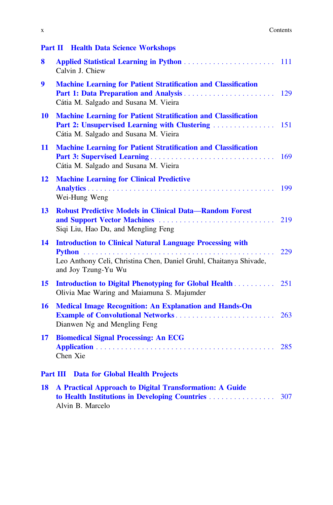|                 | <b>Part II Health Data Science Workshops</b>                                                                                                                    |     |
|-----------------|-----------------------------------------------------------------------------------------------------------------------------------------------------------------|-----|
| 8               | <b>Applied Statistical Learning in Python </b><br>Calvin J. Chiew                                                                                               | 111 |
| 9               | <b>Machine Learning for Patient Stratification and Classification</b><br>Cátia M. Salgado and Susana M. Vieira                                                  | 129 |
| 10              | <b>Machine Learning for Patient Stratification and Classification</b><br>Part 2: Unsupervised Learning with Clustering<br>Cátia M. Salgado and Susana M. Vieira | 151 |
| 11              | <b>Machine Learning for Patient Stratification and Classification</b><br>Cátia M. Salgado and Susana M. Vieira                                                  | 169 |
| 12              | <b>Machine Learning for Clinical Predictive</b><br>Wei-Hung Weng                                                                                                | 199 |
| 13              | <b>Robust Predictive Models in Clinical Data-Random Forest</b><br>and Support Vector Machines<br>Siqi Liu, Hao Du, and Mengling Feng                            | 219 |
| 14              | <b>Introduction to Clinical Natural Language Processing with</b><br>Leo Anthony Celi, Christina Chen, Daniel Gruhl, Chaitanya Shivade,<br>and Joy Tzung-Yu Wu   | 229 |
| 15              | Olivia Mae Waring and Maiamuna S. Majumder                                                                                                                      |     |
| 16              | <b>Medical Image Recognition: An Explanation and Hands-On</b><br><b>Example of Convolutional Networks</b><br>Dianwen Ng and Mengling Feng                       | 263 |
| 17              | <b>Biomedical Signal Processing: An ECG</b><br>Chen Xie                                                                                                         | 285 |
| <b>Part III</b> | Data for Global Health Projects                                                                                                                                 |     |
| 18              | A Practical Approach to Digital Transformation: A Guide                                                                                                         | 307 |

Alvin B. Marcelo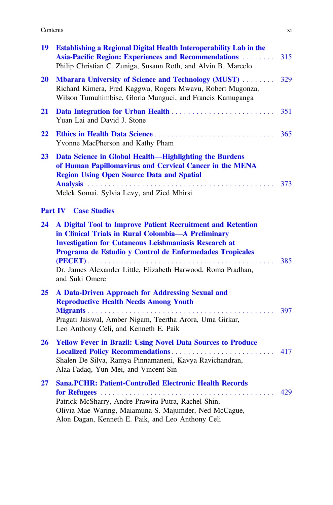| 19        | <b>Establishing a Regional Digital Health Interoperability Lab in the</b><br>Asia-Pacific Region: Experiences and Recommendations<br>Philip Christian C. Zuniga, Susann Roth, and Alvin B. Marcelo                                                                                                                              | 315 |
|-----------|---------------------------------------------------------------------------------------------------------------------------------------------------------------------------------------------------------------------------------------------------------------------------------------------------------------------------------|-----|
| <b>20</b> | <b>Mbarara University of Science and Technology (MUST) </b><br>Richard Kimera, Fred Kaggwa, Rogers Mwavu, Robert Mugonza,<br>Wilson Tumuhimbise, Gloria Munguci, and Francis Kamuganga                                                                                                                                          | 329 |
| 21        | Yuan Lai and David J. Stone                                                                                                                                                                                                                                                                                                     | 351 |
| 22        | Yvonne MacPherson and Kathy Pham                                                                                                                                                                                                                                                                                                | 365 |
| 23        | Data Science in Global Health-Highlighting the Burdens<br>of Human Papillomavirus and Cervical Cancer in the MENA<br><b>Region Using Open Source Data and Spatial</b><br>Melek Somai, Sylvia Levy, and Zied Mhirsi                                                                                                              |     |
|           | <b>Part IV</b> Case Studies                                                                                                                                                                                                                                                                                                     |     |
| 24        | A Digital Tool to Improve Patient Recruitment and Retention<br>in Clinical Trials in Rural Colombia-A Preliminary<br><b>Investigation for Cutaneous Leishmaniasis Research at</b><br>Programa de Estudio y Control de Enfermedades Tropicales<br>Dr. James Alexander Little, Elizabeth Harwood, Roma Pradhan,<br>and Suki Omere | 385 |
| 25        | A Data-Driven Approach for Addressing Sexual and<br><b>Reproductive Health Needs Among Youth</b><br>Pragati Jaiswal, Amber Nigam, Teertha Arora, Uma Girkar,<br>Leo Anthony Celi, and Kenneth E. Paik                                                                                                                           | 397 |
| <b>26</b> | <b>Yellow Fever in Brazil: Using Novel Data Sources to Produce</b><br>Shalen De Silva, Ramya Pinnamaneni, Kavya Ravichandran,<br>Alaa Fadaq, Yun Mei, and Vincent Sin                                                                                                                                                           | 417 |
| 27        | <b>Sana.PCHR: Patient-Controlled Electronic Health Records</b><br>Patrick McSharry, Andre Prawira Putra, Rachel Shin,<br>Olivia Mae Waring, Maiamuna S. Majumder, Ned McCague,                                                                                                                                                  | 429 |